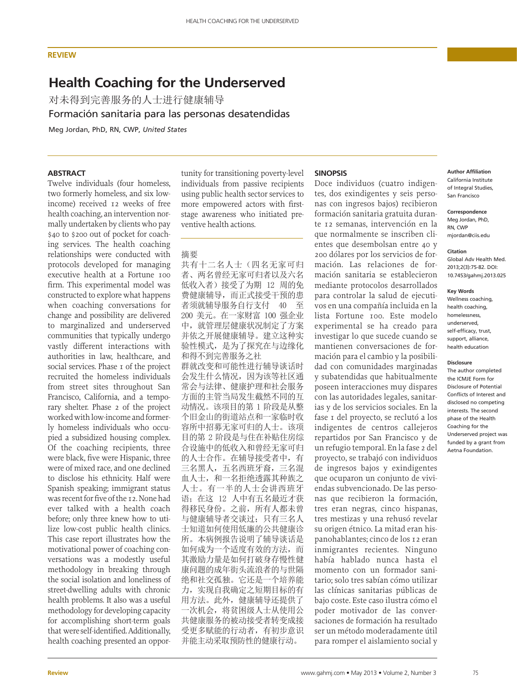## **REVIEW**

# **Health Coaching for the Underserved**

对未得到完善服务的人士进行健康辅导

Formación sanitaria para las personas desatendidas

Meg Jordan, PhD, RN, CWP, *United States*

# **ABSTRACT**

Twelve individuals (four homeless, two formerly homeless, and six lowincome) received 12 weeks of free health coaching, an intervention normally undertaken by clients who pay \$40 to \$200 out of pocket for coaching services. The health coaching relationships were conducted with protocols developed for managing executive health at a Fortune 100 firm. This experimental model was constructed to explore what happens when coaching conversations for change and possibility are delivered to marginalized and underserved communities that typically undergo vastly different interactions with authorities in law, healthcare, and social services. Phase 1 of the project recruited the homeless individuals from street sites throughout San Francisco, California, and a temporary shelter. Phase 2 of the project worked with low-income and formerly homeless individuals who occupied a subsidized housing complex. Of the coaching recipients, three were black, five were Hispanic, three were of mixed race, and one declined to disclose his ethnicity. Half were Spanish speaking; immigrant status was recent for five of the 12. None had ever talked with a health coach before; only three knew how to utilize low-cost public health clinics. This case report illustrates how the motivational power of coaching conversations was a modestly useful methodology in breaking through the social isolation and loneliness of street-dwelling adults with chronic health problems. It also was a useful methodology for developing capacity for accomplishing short-term goals that were self-identified. Additionally, health coaching presented an opportunity for transitioning poverty-level individuals from passive recipients using public health sector services to more empowered actors with firststage awareness who initiated preventive health actions.

# 摘要

共有十二名人士(四名无家可归 者、两名曾经无家可归者以及六名 低收入者) 接受了为期 12 周的免 费健康辅导, 而正式接受干预的患 者须就辅导服务自行支付 40 至 200 美元。在一家财富 100 强企业 中, 就管理层健康状况制定了方案 并依之开展健康辅导。建立这种实 验性模式, 是为了探究在与边缘化 和得不到完善服务之社 群就改变和可能性进行辅导谈话时 会发生什么情况, 因为该等社区通 常会与法律、健康护理和社会服务 方面的主管当局发生截然不同的互 动情况。该项目的第 1 阶段是从整 个旧金山的街道站点和一家临时收 容所中招募无家可归的人士。该项 目的第2阶段是与住在补贴住房综 合设施中的低收入和曾经无家可归 的人士合作。在辅导接受者中,有 三名黑人,五名西班牙裔,三名混 血人士, 和一名拒绝透露其种族之 人士。有一半的人士会讲西班牙 语;在这 12 人中有五名最近才获 得移民身份。之前, 所有人都未曾 与健康辅导者交谈过: 只有三名人 士知道如何使用低廉的公共健康诊 所。本病例报告说明了辅导谈话是 如何成为一个适度有效的方法,而 其激励力量是如何打破身存慢性健 康问题的成年街头流浪者的与世隔 绝和社交孤独。它还是一个培养能 力, 实现自我确定之短期目标的有 用方法。此外, 健康辅导还提供了 一次机会, 将贫困级人士从使用公 共健康服务的被动接受者转变成接 受更多赋能的行动者, 有初步意识 并能主动采取预防性的健康行动。

## **SINOPSIS**

Doce individuos (cuatro indigentes, dos exindigentes y seis personas con ingresos bajos) recibieron formación sanitaria gratuita durante 12 semanas, intervención en la que normalmente se inscriben clientes que desembolsan entre 40 y 200 dólares por los servicios de formación. Las relaciones de formación sanitaria se establecieron mediante protocolos desarrollados para controlar la salud de ejecutivos en una compañía incluida en la lista Fortune 100. Este modelo experimental se ha creado para investigar lo que sucede cuando se mantienen conversaciones de formación para el cambio y la posibilidad con comunidades marginadas y subatendidas que habitualmente poseen interacciones muy dispares con las autoridades legales, sanitarias y de los servicios sociales. En la fase 1 del proyecto, se reclutó a los indigentes de centros callejeros repartidos por San Francisco y de un refugio temporal. En la fase 2 del proyecto, se trabajó con individuos de ingresos bajos y exindigentes que ocuparon un conjunto de viviendas subvencionado. De las personas que recibieron la formación, tres eran negras, cinco hispanas, tres mestizas y una rehusó revelar su origen étnico. La mitad eran hispanohablantes; cinco de los 12 eran inmigrantes recientes. Ninguno había hablado nunca hasta el momento con un formador sanitario; solo tres sabían cómo utilizar las clínicas sanitarias públicas de bajo coste. Este caso ilustra cómo el poder motivador de las conversaciones de formación ha resultado ser un método moderadamente útil para romper el aislamiento social y

## **Author Affiliation**

California Institute of Integral Studies, San Francisco

#### **Correspondence**

Meg Jordan, PhD, RN, CWP mjordan@ciis.edu

#### **Citation**

Global Adv Health Med. 2013;2(3):75-82. DOI: 10.7453/gahmj.2013.025

#### **Key Words**

Wellness coaching, health coaching, homelessness, underserved, self-efficacy, trust, support, alliance, health education

#### **Disclosure**

The author completed the ICMJE Form for Disclosure of Potential Conflicts of Interest and disclosed no competing interests. The second phase of the Health Coaching for the Underserved project was funded by a grant from Aetna Foundation.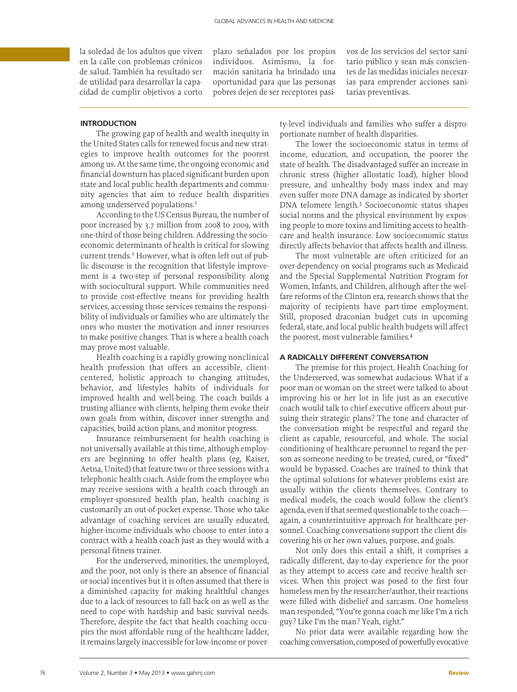la soledad de los adultos que viven en la calle con problemas crónicos de salud. También ha resultado ser de utilidad para desarrollar la capacidad de cumplir objetivos a corto

plazo señalados por los propios individuos. Asimismo, la formación sanitaria ha brindado una oportunidad para que las personas pobres dejen de ser receptores pasivos de los servicios del sector sanitario público y sean más conscientes de las medidas iniciales necesarias para emprender acciones sanitarias preventivas.

# **INTRODUCTION**

The growing gap of health and wealth inequity in the United States calls for renewed focus and new strategies to improve health outcomes for the poorest among us. At the same time, the ongoing economic and financial downturn has placed significant burden upon state and local public health departments and community agencies that aim to reduce health disparities among underserved populations.1

According to the US Census Bureau, the number of poor increased by 3.7 million from 2008 to 2009, with one-third of those being children. Addressing the socioeconomic determinants of health is critical for slowing current trends.<sup>2</sup> However, what is often left out of public discourse is the recognition that lifestyle improvement is a two-step of personal responsibility along with sociocultural support. While communities need to provide cost-effective means for providing health services, accessing those services remains the responsibility of individuals or families who are ultimately the ones who muster the motivation and inner resources to make positive changes. That is where a health coach may prove most valuable.

Health coaching is a rapidly growing nonclinical health profession that offers an accessible, clientcentered, holistic approach to changing attitudes, behavior, and lifestyles habits of individuals for improved health and well-being. The coach builds a trusting alliance with clients, helping them evoke their own goals from within, discover inner strengths and capacities, build action plans, and monitor progress.

Insurance reimbursement for health coaching is not universally available at this time, although employers are beginning to offer health plans (eg, Kaiser, Aetna, United) that feature two or three sessions with a telephonic health coach. Aside from the employee who may receive sessions with a health coach through an employer-sponsored health plan, health coaching is customarily an out-of-pocket expense. Those who take advantage of coaching services are usually educated, higher-income individuals who choose to enter into a contract with a health coach just as they would with a personal fitness trainer.

For the underserved, minorities, the unemployed, and the poor, not only is there an absence of financial or social incentives but it is often assumed that there is a diminished capacity for making healthful changes due to a lack of resources to fall back on as well as the need to cope with hardship and basic survival needs. Therefore, despite the fact that health coaching occupies the most affordable rung of the healthcare ladder, it remains largely inaccessible for low-income or poverty-level individuals and families who suffer a disproportionate number of health disparities.

The lower the socioeconomic status in terms of income, education, and occupation, the poorer the state of health. The disadvantaged suffer an increase in chronic stress (higher allostatic load), higher blood pressure, and unhealthy body mass index and may even suffer more DNA damage as indicated by shorter DNA telomere length.3 Socioeconomic status shapes social norms and the physical environment by exposing people to more toxins and limiting access to healthcare and health insurance. Low socioeconomic status directly affects behavior that affects health and illness.

The most vulnerable are often criticized for an over-dependency on social programs such as Medicaid and the Special Supplemental Nutrition Program for Women, Infants, and Children, although after the welfare reforms of the Clinton era, research shows that the majority of recipients have part-time employment. Still, proposed draconian budget cuts in upcoming federal, state, and local public health budgets will affect the poorest, most vulnerable families.4

#### **A RADICALLY DIFFERENT CONVERSATION**

The premise for this project, Health Coaching for the Underserved, was somewhat audacious: What if a poor man or woman on the street were talked to about improving his or her lot in life just as an executive coach would talk to chief executive officers about pursuing their strategic plans? The tone and character of the conversation might be respectful and regard the client as capable, resourceful, and whole. The social conditioning of healthcare personnel to regard the person as someone needing to be treated, cured, or "fixed" would be bypassed. Coaches are trained to think that the optimal solutions for whatever problems exist are usually within the clients themselves. Contrary to medical models, the coach would follow the client's agenda, even if that seemed questionable to the coach again, a counterintuitive approach for healthcare personnel. Coaching conversations support the client discovering his or her own values, purpose, and goals.

Not only does this entail a shift, it comprises a radically different, day-to-day experience for the poor as they attempt to access care and receive health services. When this project was posed to the first four homeless men by the researcher/author, their reactions were filled with disbelief and sarcasm. One homeless man responded, "You're gonna coach me like I'm a rich guy? Like I'm the man? Yeah, right."

No prior data were available regarding how the coaching conversation, composed of powerfully evocative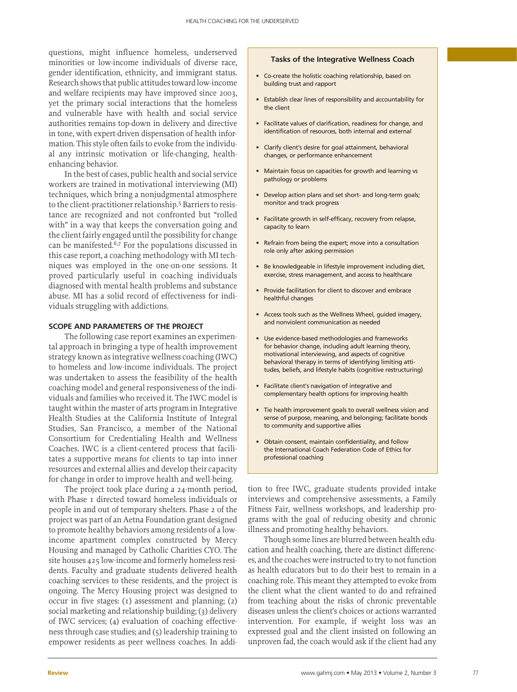questions, might influence homeless, underserved minorities or low-income individuals of diverse race, gender identification, ethnicity, and immigrant status. Research shows that public attitudes toward low-income and welfare recipients may have improved since 2003, yet the primary social interactions that the homeless and vulnerable have with health and social service authorities remains top-down in delivery and directive in tone, with expert-driven dispensation of health information. This style often fails to evoke from the individual any intrinsic motivation or life-changing, healthenhancing behavior.

In the best of cases, public health and social service workers are trained in motivational interviewing (MI) techniques, which bring a nonjudgmental atmosphere to the client-practitioner relationship.5 Barriers to resistance are recognized and not confronted but "rolled with" in a way that keeps the conversation going and the client fairly engaged until the possibility for change can be manifested.6,7 For the populations discussed in this case report, a coaching methodology with MI techniques was employed in the one-on-one sessions. It proved particularly useful in coaching individuals diagnosed with mental health problems and substance abuse. MI has a solid record of effectiveness for individuals struggling with addictions.

# **SCOPE AND PARAMETERS OF THE PROJECT**

The following case report examines an experimental approach in bringing a type of health improvement strategy known as integrative wellness coaching (IWC) to homeless and low-income individuals. The project was undertaken to assess the feasibility of the health coaching model and general responsiveness of the individuals and families who received it. The IWC model is taught within the master of arts program in Integrative Health Studies at the California Institute of Integral Studies, San Francisco, a member of the National Consortium for Credentialing Health and Wellness Coaches. IWC is a client-centered process that facilitates a supportive means for clients to tap into inner resources and external allies and develop their capacity for change in order to improve health and well-being.

The project took place during a 24-month period, with Phase 1 directed toward homeless individuals or people in and out of temporary shelters. Phase 2 of the project was part of an Aetna Foundation grant designed to promote healthy behaviors among residents of a lowincome apartment complex constructed by Mercy Housing and managed by Catholic Charities CYO. The site houses 425 low-income and formerly homeless residents. Faculty and graduate students delivered health coaching services to these residents, and the project is ongoing. The Mercy Housing project was designed to occur in five stages: (1) assessment and planning; (2) social marketing and relationship building; (3) delivery of IWC services; (4) evaluation of coaching effectiveness through case studies; and (5) leadership training to empower residents as peer wellness coaches. In addi-

#### **Tasks of the Integrative Wellness Coach**

- Co-create the holistic coaching relationship, based on building trust and rapport
- Establish clear lines of responsibility and accountability for the client
- Facilitate values of clarification, readiness for change, and identification of resources, both internal and external
- Clarify client's desire for goal attainment, behavioral changes, or performance enhancement
- Maintain focus on capacities for growth and learning vs pathology or problems
- Develop action plans and set short- and long-term goals; monitor and track progress
- Facilitate growth in self-efficacy, recovery from relapse, capacity to learn
- Refrain from being the expert; move into a consultation role only after asking permission
- Be knowledgeable in lifestyle improvement including diet, exercise, stress management, and access to healthcare
- Provide facilitation for client to discover and embrace healthful changes
- Access tools such as the Wellness Wheel, guided imagery, and nonviolent communication as needed
- Use evidence-based methodologies and frameworks for behavior change, including adult learning theory, motivational interviewing, and aspects of cognitive behavioral therapy in terms of identifying limiting attitudes, beliefs, and lifestyle habits (cognitive restructuring)
- Facilitate client's navigation of integrative and complementary health options for improving health
- Tie health improvement goals to overall wellness vision and sense of purpose, meaning, and belonging; facilitate bonds to community and supportive allies
- Obtain consent, maintain confidentiality, and follow the International Coach Federation Code of Ethics for professional coaching

tion to free IWC, graduate students provided intake interviews and comprehensive assessments, a Family Fitness Fair, wellness workshops, and leadership programs with the goal of reducing obesity and chronic illness and promoting healthy behaviors.

Though some lines are blurred between health education and health coaching, there are distinct differences, and the coaches were instructed to try to not function as health educators but to do their best to remain in a coaching role. This meant they attempted to evoke from the client what the client wanted to do and refrained from teaching about the risks of chronic preventable diseases unless the client's choices or actions warranted intervention. For example, if weight loss was an expressed goal and the client insisted on following an unproven fad, the coach would ask if the client had any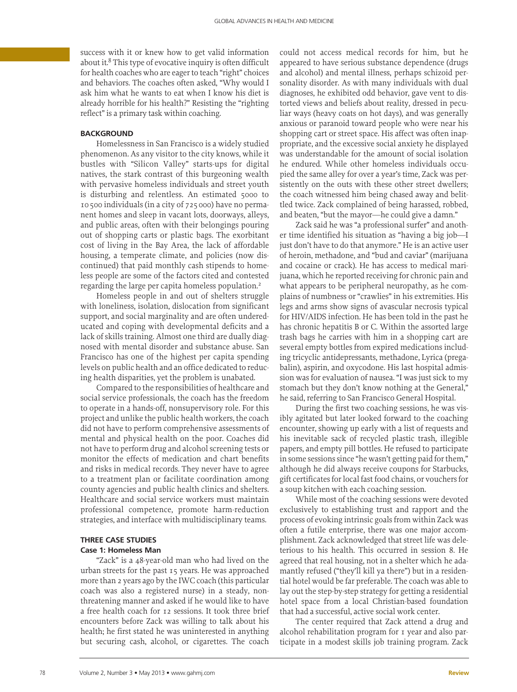success with it or knew how to get valid information about it.8 This type of evocative inquiry is often difficult for health coaches who are eager to teach "right" choices and behaviors. The coaches often asked, "Why would I ask him what he wants to eat when I know his diet is already horrible for his health?" Resisting the "righting reflect" is a primary task within coaching.

## **BACKGROUND**

Homelessness in San Francisco is a widely studied phenomenon. As any visitor to the city knows, while it bustles with "Silicon Valley" starts-ups for digital natives, the stark contrast of this burgeoning wealth with pervasive homeless individuals and street youth is disturbing and relentless. An estimated 5000 to 10500 individuals (in a city of 725000) have no permanent homes and sleep in vacant lots, doorways, alleys, and public areas, often with their belongings pouring out of shopping carts or plastic bags. The exorbitant cost of living in the Bay Area, the lack of affordable housing, a temperate climate, and policies (now discontinued) that paid monthly cash stipends to homeless people are some of the factors cited and contested regarding the large per capita homeless population.<sup>2</sup>

Homeless people in and out of shelters struggle with loneliness, isolation, dislocation from significant support, and social marginality and are often undereducated and coping with developmental deficits and a lack of skills training. Almost one third are dually diagnosed with mental disorder and substance abuse. San Francisco has one of the highest per capita spending levels on public health and an office dedicated to reducing health disparities, yet the problem is unabated.

Compared to the responsibilities of healthcare and social service professionals, the coach has the freedom to operate in a hands-off, nonsupervisory role. For this project and unlike the public health workers, the coach did not have to perform comprehensive assessments of mental and physical health on the poor. Coaches did not have to perform drug and alcohol screening tests or monitor the effects of medication and chart benefits and risks in medical records. They never have to agree to a treatment plan or facilitate coordination among county agencies and public health clinics and shelters. Healthcare and social service workers must maintain professional competence, promote harm-reduction strategies, and interface with multidisciplinary teams.

# **THREE CASE STUDIES Case 1: Homeless Man**

"Zack" is a 48-year-old man who had lived on the urban streets for the past 15 years. He was approached more than 2 years ago by the IWC coach (this particular coach was also a registered nurse) in a steady, nonthreatening manner and asked if he would like to have a free health coach for 12 sessions. It took three brief encounters before Zack was willing to talk about his health; he first stated he was uninterested in anything but securing cash, alcohol, or cigarettes. The coach

could not access medical records for him, but he appeared to have serious substance dependence (drugs and alcohol) and mental illness, perhaps schizoid personality disorder. As with many individuals with dual diagnoses, he exhibited odd behavior, gave vent to distorted views and beliefs about reality, dressed in peculiar ways (heavy coats on hot days), and was generally anxious or paranoid toward people who were near his shopping cart or street space. His affect was often inappropriate, and the excessive social anxiety he displayed was understandable for the amount of social isolation he endured. While other homeless individuals occupied the same alley for over a year's time, Zack was persistently on the outs with these other street dwellers; the coach witnessed him being chased away and belittled twice. Zack complained of being harassed, robbed, and beaten, "but the mayor—he could give a damn."

Zack said he was "a professional surfer" and another time identified his situation as "having a big job—I just don't have to do that anymore." He is an active user of heroin, methadone, and "bud and caviar" (marijuana and cocaine or crack). He has access to medical marijuana, which he reported receiving for chronic pain and what appears to be peripheral neuropathy, as he complains of numbness or "crawlies" in his extremities. His legs and arms show signs of avascular necrosis typical for HIV/AIDS infection. He has been told in the past he has chronic hepatitis B or C. Within the assorted large trash bags he carries with him in a shopping cart are several empty bottles from expired medications including tricyclic antidepressants, methadone, Lyrica (pregabalin), aspirin, and oxycodone. His last hospital admission was for evaluation of nausea. "I was just sick to my stomach but they don't know nothing at the General," he said, referring to San Francisco General Hospital.

During the first two coaching sessions, he was visibly agitated but later looked forward to the coaching encounter, showing up early with a list of requests and his inevitable sack of recycled plastic trash, illegible papers, and empty pill bottles. He refused to participate in some sessions since "he wasn't getting paid for them," although he did always receive coupons for Starbucks, gift certificates for local fast food chains, or vouchers for a soup kitchen with each coaching session.

While most of the coaching sessions were devoted exclusively to establishing trust and rapport and the process of evoking intrinsic goals from within Zack was often a futile enterprise, there was one major accomplishment. Zack acknowledged that street life was deleterious to his health. This occurred in session 8. He agreed that real housing, not in a shelter which he adamantly refused ("they'll kill ya there") but in a residential hotel would be far preferable. The coach was able to lay out the step-by-step strategy for getting a residential hotel space from a local Christian-based foundation that had a successful, active social work center.

The center required that Zack attend a drug and alcohol rehabilitation program for 1 year and also participate in a modest skills job training program. Zack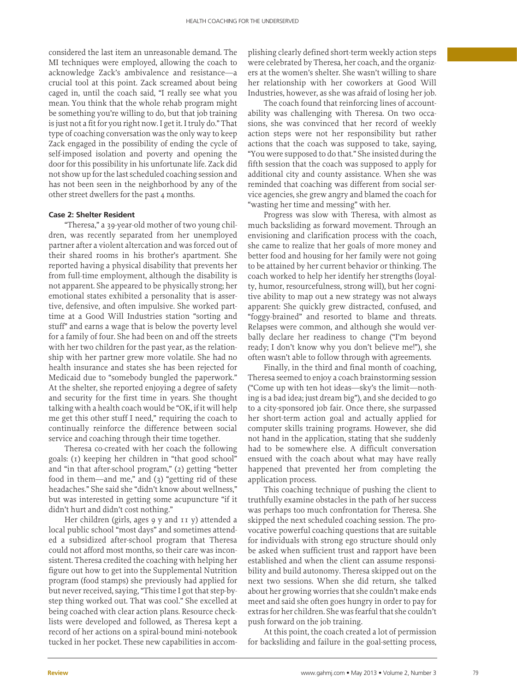considered the last item an unreasonable demand. The MI techniques were employed, allowing the coach to acknowledge Zack's ambivalence and resistance—a crucial tool at this point. Zack screamed about being caged in, until the coach said, "I really see what you mean. You think that the whole rehab program might be something you're willing to do, but that job training is just not a fit for you right now. I get it. I truly do." That type of coaching conversation was the only way to keep Zack engaged in the possibility of ending the cycle of self-imposed isolation and poverty and opening the door for this possibility in his unfortunate life. Zack did not show up for the last scheduled coaching session and has not been seen in the neighborhood by any of the other street dwellers for the past 4 months.

## **Case 2: Shelter Resident**

"Theresa," a 39-year-old mother of two young children, was recently separated from her unemployed partner after a violent altercation and was forced out of their shared rooms in his brother's apartment. She reported having a physical disability that prevents her from full-time employment, although the disability is not apparent. She appeared to be physically strong; her emotional states exhibited a personality that is assertive, defensive, and often impulsive. She worked parttime at a Good Will Industries station "sorting and stuff" and earns a wage that is below the poverty level for a family of four. She had been on and off the streets with her two children for the past year, as the relationship with her partner grew more volatile. She had no health insurance and states she has been rejected for Medicaid due to "somebody bungled the paperwork." At the shelter, she reported enjoying a degree of safety and security for the first time in years. She thought talking with a health coach would be "OK, if it will help me get this other stuff I need," requiring the coach to continually reinforce the difference between social service and coaching through their time together.

Theresa co-created with her coach the following goals: (1) keeping her children in "that good school" and "in that after-school program," (2) getting "better food in them—and me," and (3) "getting rid of these headaches." She said she "didn't know about wellness," but was interested in getting some acupuncture "if it didn't hurt and didn't cost nothing."

Her children (girls, ages 9 y and 11 y) attended a local public school "most days" and sometimes attended a subsidized after-school program that Theresa could not afford most months, so their care was inconsistent. Theresa credited the coaching with helping her figure out how to get into the Supplemental Nutrition program (food stamps) she previously had applied for but never received, saying, "This time I got that step-bystep thing worked out. That was cool." She excelled at being coached with clear action plans. Resource checklists were developed and followed, as Theresa kept a record of her actions on a spiral-bound mini-notebook tucked in her pocket. These new capabilities in accomplishing clearly defined short-term weekly action steps were celebrated by Theresa, her coach, and the organizers at the women's shelter. She wasn't willing to share her relationship with her coworkers at Good Will Industries, however, as she was afraid of losing her job.

The coach found that reinforcing lines of accountability was challenging with Theresa. On two occasions, she was convinced that her record of weekly action steps were not her responsibility but rather actions that the coach was supposed to take, saying, "You were supposed to do that." She insisted during the fifth session that the coach was supposed to apply for additional city and county assistance. When she was reminded that coaching was different from social service agencies, she grew angry and blamed the coach for "wasting her time and messing" with her.

Progress was slow with Theresa, with almost as much backsliding as forward movement. Through an envisioning and clarification process with the coach, she came to realize that her goals of more money and better food and housing for her family were not going to be attained by her current behavior or thinking. The coach worked to help her identify her strengths (loyalty, humor, resourcefulness, strong will), but her cognitive ability to map out a new strategy was not always apparent: She quickly grew distracted, confused, and "foggy-brained" and resorted to blame and threats. Relapses were common, and although she would verbally declare her readiness to change ("I'm beyond ready; I don't know why you don't believe me!"), she often wasn't able to follow through with agreements.

Finally, in the third and final month of coaching, Theresa seemed to enjoy a coach brainstorming session ("Come up with ten hot ideas—sky's the limit—nothing is a bad idea; just dream big"), and she decided to go to a city-sponsored job fair. Once there, she surpassed her short-term action goal and actually applied for computer skills training programs. However, she did not hand in the application, stating that she suddenly had to be somewhere else. A difficult conversation ensued with the coach about what may have really happened that prevented her from completing the application process.

This coaching technique of pushing the client to truthfully examine obstacles in the path of her success was perhaps too much confrontation for Theresa. She skipped the next scheduled coaching session. The provocative powerful coaching questions that are suitable for individuals with strong ego structure should only be asked when sufficient trust and rapport have been established and when the client can assume responsibility and build autonomy. Theresa skipped out on the next two sessions. When she did return, she talked about her growing worries that she couldn't make ends meet and said she often goes hungry in order to pay for extras for her children. She was fearful that she couldn't push forward on the job training.

At this point, the coach created a lot of permission for backsliding and failure in the goal-setting process,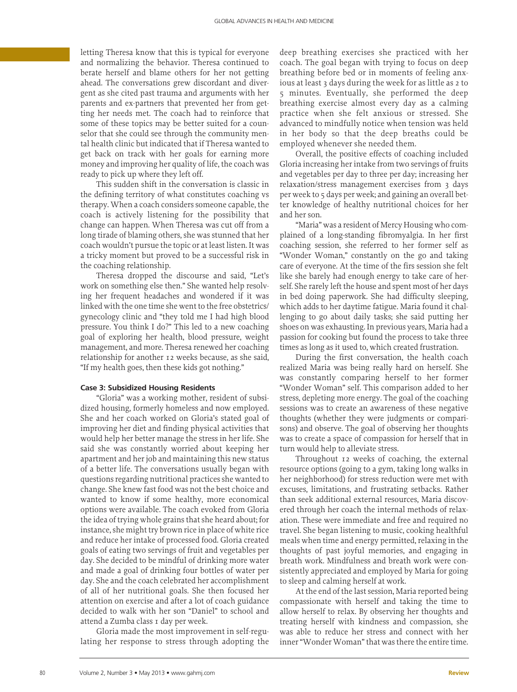letting Theresa know that this is typical for everyone and normalizing the behavior. Theresa continued to berate herself and blame others for her not getting ahead. The conversations grew discordant and divergent as she cited past trauma and arguments with her parents and ex-partners that prevented her from getting her needs met. The coach had to reinforce that some of these topics may be better suited for a counselor that she could see through the community mental health clinic but indicated that if Theresa wanted to get back on track with her goals for earning more money and improving her quality of life, the coach was ready to pick up where they left off.

This sudden shift in the conversation is classic in the defining territory of what constitutes coaching vs therapy. When a coach considers someone capable, the coach is actively listening for the possibility that change can happen. When Theresa was cut off from a long tirade of blaming others, she was stunned that her coach wouldn't pursue the topic or at least listen. It was a tricky moment but proved to be a successful risk in the coaching relationship.

Theresa dropped the discourse and said, "Let's work on something else then." She wanted help resolving her frequent headaches and wondered if it was linked with the one time she went to the free obstetrics/ gynecology clinic and "they told me I had high blood pressure. You think I do?" This led to a new coaching goal of exploring her health, blood pressure, weight management, and more. Theresa renewed her coaching relationship for another 12 weeks because, as she said, "If my health goes, then these kids got nothing."

# **Case 3: Subsidized Housing Residents**

"Gloria" was a working mother, resident of subsidized housing, formerly homeless and now employed. She and her coach worked on Gloria's stated goal of improving her diet and finding physical activities that would help her better manage the stress in her life. She said she was constantly worried about keeping her apartment and her job and maintaining this new status of a better life. The conversations usually began with questions regarding nutritional practices she wanted to change. She knew fast food was not the best choice and wanted to know if some healthy, more economical options were available. The coach evoked from Gloria the idea of trying whole grains that she heard about; for instance, she might try brown rice in place of white rice and reduce her intake of processed food. Gloria created goals of eating two servings of fruit and vegetables per day. She decided to be mindful of drinking more water and made a goal of drinking four bottles of water per day. She and the coach celebrated her accomplishment of all of her nutritional goals. She then focused her attention on exercise and after a lot of coach guidance decided to walk with her son "Daniel" to school and attend a Zumba class 1 day per week.

Gloria made the most improvement in self-regulating her response to stress through adopting the

deep breathing exercises she practiced with her coach. The goal began with trying to focus on deep breathing before bed or in moments of feeling anxious at least 3 days during the week for as little as 2 to 5 minutes. Eventually, she performed the deep breathing exercise almost every day as a calming practice when she felt anxious or stressed. She advanced to mindfully notice when tension was held in her body so that the deep breaths could be employed whenever she needed them.

Overall, the positive effects of coaching included Gloria increasing her intake from two servings of fruits and vegetables per day to three per day; increasing her relaxation/stress management exercises from 3 days per week to 5 days per week; and gaining an overall better knowledge of healthy nutritional choices for her and her son.

"Maria" was a resident of Mercy Housing who complained of a long-standing fibromyalgia. In her first coaching session, she referred to her former self as "Wonder Woman," constantly on the go and taking care of everyone. At the time of the firs session she felt like she barely had enough energy to take care of herself. She rarely left the house and spent most of her days in bed doing paperwork. She had difficulty sleeping, which adds to her daytime fatigue. Maria found it challenging to go about daily tasks; she said putting her shoes on was exhausting. In previous years, Maria had a passion for cooking but found the process to take three times as long as it used to, which created frustration.

During the first conversation, the health coach realized Maria was being really hard on herself. She was constantly comparing herself to her former "Wonder Woman" self. This comparison added to her stress, depleting more energy. The goal of the coaching sessions was to create an awareness of these negative thoughts (whether they were judgments or comparisons) and observe. The goal of observing her thoughts was to create a space of compassion for herself that in turn would help to alleviate stress.

Throughout 12 weeks of coaching, the external resource options (going to a gym, taking long walks in her neighborhood) for stress reduction were met with excuses, limitations, and frustrating setbacks. Rather than seek additional external resources, Maria discovered through her coach the internal methods of relaxation. These were immediate and free and required no travel. She began listening to music, cooking healthful meals when time and energy permitted, relaxing in the thoughts of past joyful memories, and engaging in breath work. Mindfulness and breath work were consistently appreciated and employed by Maria for going to sleep and calming herself at work.

At the end of the last session, Maria reported being compassionate with herself and taking the time to allow herself to relax. By observing her thoughts and treating herself with kindness and compassion, she was able to reduce her stress and connect with her inner "Wonder Woman" that was there the entire time.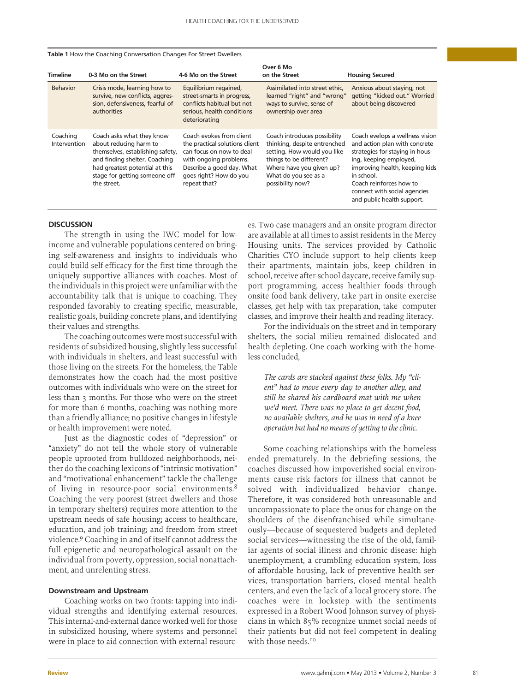#### **Table 1** How the Coaching Conversation Changes For Street Dwellers

| <b>Timeline</b>          | 0-3 Mo on the Street                                                                                                                                                                                       | 4-6 Mo on the Street                                                                                                                                                                    | Over 6 Mo<br>on the Street                                                                                                                                                                     | <b>Housing Secured</b>                                                                                                                                                                                                                                                 |
|--------------------------|------------------------------------------------------------------------------------------------------------------------------------------------------------------------------------------------------------|-----------------------------------------------------------------------------------------------------------------------------------------------------------------------------------------|------------------------------------------------------------------------------------------------------------------------------------------------------------------------------------------------|------------------------------------------------------------------------------------------------------------------------------------------------------------------------------------------------------------------------------------------------------------------------|
| <b>Behavior</b>          | Crisis mode, learning how to<br>survive, new conflicts, aggres-<br>sion, defensiveness, fearful of<br>authorities                                                                                          | Equilibrium regained,<br>street-smarts in progress,<br>conflicts habitual but not<br>serious, health conditions<br>deteriorating                                                        | Assimilated into street ethic.<br>learned "right" and "wrong"<br>ways to survive, sense of<br>ownership over area                                                                              | Anxious about staying, not<br>getting "kicked out." Worried<br>about being discovered                                                                                                                                                                                  |
| Coaching<br>Intervention | Coach asks what they know<br>about reducing harm to<br>themselves, establishing safety,<br>and finding shelter. Coaching<br>had greatest potential at this<br>stage for getting someone off<br>the street. | Coach evokes from client<br>the practical solutions client<br>can focus on now to deal<br>with ongoing problems.<br>Describe a good day. What<br>goes right? How do you<br>repeat that? | Coach introduces possibility<br>thinking, despite entrenched<br>setting. How would you like<br>things to be different?<br>Where have you given up?<br>What do you see as a<br>possibility now? | Coach evelops a wellness vision<br>and action plan with concrete<br>strategies for staying in hous-<br>ing, keeping employed,<br>improving health, keeping kids<br>in school.<br>Coach reinforces how to<br>connect with social agencies<br>and public health support. |

## **DISCUSSION**

The strength in using the IWC model for lowincome and vulnerable populations centered on bringing self-awareness and insights to individuals who could build self-efficacy for the first time through the uniquely supportive alliances with coaches. Most of the individuals in this project were unfamiliar with the accountability talk that is unique to coaching. They responded favorably to creating specific, measurable, realistic goals, building concrete plans, and identifying their values and strengths.

The coaching outcomes were most successful with residents of subsidized housing, slightly less successful with individuals in shelters, and least successful with those living on the streets. For the homeless, the Table demonstrates how the coach had the most positive outcomes with individuals who were on the street for less than 3 months. For those who were on the street for more than 6 months, coaching was nothing more than a friendly alliance; no positive changes in lifestyle or health improvement were noted.

Just as the diagnostic codes of "depression" or "anxiety" do not tell the whole story of vulnerable people uprooted from bulldozed neighborhoods, neither do the coaching lexicons of "intrinsic motivation" and "motivational enhancement" tackle the challenge of living in resource-poor social environments.<sup>8</sup> Coaching the very poorest (street dwellers and those in temporary shelters) requires more attention to the upstream needs of safe housing; access to healthcare, education, and job training; and freedom from street violence.9 Coaching in and of itself cannot address the full epigenetic and neuropathological assault on the individual from poverty, oppression, social nonattachment, and unrelenting stress.

## **Downstream and Upstream**

Coaching works on two fronts: tapping into individual strengths and identifying external resources. This internal-and-external dance worked well for those in subsidized housing, where systems and personnel were in place to aid connection with external resources. Two case managers and an onsite program director are available at all times to assist residents in the Mercy Housing units. The services provided by Catholic Charities CYO include support to help clients keep their apartments, maintain jobs, keep children in school, receive after-school daycare, receive family support programming, access healthier foods through onsite food bank delivery, take part in onsite exercise classes, get help with tax preparation, take computer classes, and improve their health and reading literacy.

For the individuals on the street and in temporary shelters, the social milieu remained dislocated and health depleting. One coach working with the homeless concluded,

*The cards are stacked against these folks. My "client" had to move every day to another alley, and still he shared his cardboard mat with me when we'd meet. There was no place to get decent food, no available shelters, and he was in need of a knee operation but had no means of getting to the clinic.* 

Some coaching relationships with the homeless ended prematurely. In the debriefing sessions, the coaches discussed how impoverished social environments cause risk factors for illness that cannot be solved with individualized behavior change. Therefore, it was considered both unreasonable and uncompassionate to place the onus for change on the shoulders of the disenfranchised while simultaneously—because of sequestered budgets and depleted social services—witnessing the rise of the old, familiar agents of social illness and chronic disease: high unemployment, a crumbling education system, loss of affordable housing, lack of preventive health services, transportation barriers, closed mental health centers, and even the lack of a local grocery store. The coaches were in lockstep with the sentiments expressed in a Robert Wood Johnson survey of physicians in which 85% recognize unmet social needs of their patients but did not feel competent in dealing with those needs.<sup>10</sup>